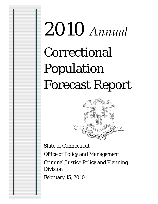# 2010 *Annual* Correctional Population Forecast Report



State of Connecticut Office of Policy and Management Criminal Justice Policy and Planning Division February 15, 2010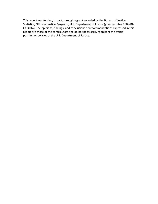This report was funded, in part, through a grant awarded by the Bureau of Justice Statistics, Office of Justice Programs, U.S. Department of Justice (grant number 2009‐BJ‐ CX‐K014). The opinions, findings, and conclusions or recommendations expressed in this report are those of the contributors and do not necessarily represent the official position or policies of the U.S. Department of Justice.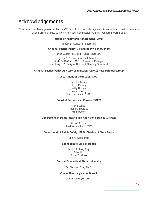### Acknowledgements

This report has been generated by the Office of Policy and Management in collaboration with members of the Criminal Justice Policy Advisory Commission (CJPAC) Research Workgroup.

**Office of Policy and Management (OPM)** 

Robert L. Genuario, Secretary

**Criminal Justice Policy & Planning Division (CJPPD)** 

Brian Austin, Jr., Esq., Undersecretary

John E. Forbes, Assistant Director Linda D. DeConti, M.Sc., Research Manager Ivan Kuzyk, Primary Author and Planning Specialist

**Criminal Justice Policy Advisory Commission (CJPAC) Research Workgroup** 

**Department of Correction (DOC)** 

Carol Salsbury Lynn Milling Kitty Dudley Mary Lansing Patrick Hynes, Ph.D.

**Board of Pardons and Paroles (BOPP)** 

John Lahda Richard Sparaco Fred Watton

**Department of Mental Health and Addiction Services (DMHAS)** 

Alfred Bidorini Loel W. Meckel, LCSW

**Department of Public Safety (DPS), Division of State Police** 

Lois A. Desmarais

**Connecticut Judicial Branch** 

Judith P. Lee, Esq. Brian Hill Susan C. Glass

**Central Connecticut State University** 

Dr. Stephen Cox, Ph.D.

**Connecticut Legislative Branch** 

Chris Reinhart, Esq.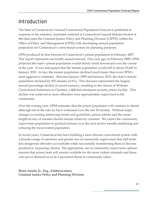## Introduction

The State of Connecticut's Annual Correctional Population Forecast is published in response to the statutory mandates outlined in Connecticut General Statutes Section 4- 68n that tasks the Criminal Justice Policy and Planning Division (CJPPD) within the Office of Policy and Management (OPM) with developing annual population projections for Connecticut's correctional system for planning purposes.

OPM produced its first forecast of Connecticut's prison population in February 2007. This report represents our fourth annual forecast. One year ago, in February 2009, OPM projected the state's prison population would slowly trend downward over the course of the year. It was anticipated that the inmate population would fall to about 18,600 in January 2010. In fact, the inmate population declined much faster than even OPM's most aggressive estimates. Between January 2009 and January 2010, the state's inmate population declined by 925 inmates (4.9%). This decrease represented the largest, annual percentage decline in recent memory, resulting in the closure of Webster Correctional Institution in Cheshire, a 400-bed minimum security prison facility. This decline was achieved as more offenders were appropriately supervised in the community.

Over the coming year, OPM estimates that the prison population will continue to shrink although not at the rate we have witnessed over the last 18 months. Without major changes in existing sentencing trends and guidelines, prison admits and the meanlength-of-stay of inmates should remain relatively constant. We expect the community supervision population to gradual increase over the next twelve months stabilizing and reducing the incarcerated population.

In recent years, Connecticut has been building a more diverse correctional system with a broader range of sanctions and greater use of community supervision that still holds less dangerous offenders accountable while successfully transitioning them to become productive, taxpaying citizens. The appropriate use of community supervision options ensures that prison beds will remain available for the most violent criminals and those who prove themselves to be a persistent threat to community safety.

**Brian Austin, Jr., Esq., Undersecretary Criminal Justice Policy and Planning Division**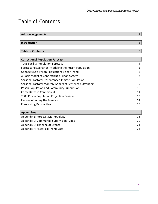## Table of Contents

| <b>Acknowledgements</b>                                 |                |
|---------------------------------------------------------|----------------|
|                                                         |                |
| Introduction                                            | $\overline{2}$ |
|                                                         |                |
| <b>Table of Contents</b>                                | 3              |
|                                                         |                |
| <b>Correctional Population Forecast</b>                 |                |
| <b>Total Facility Population Forecast</b>               | 4              |
| Forecasting Scenarios: Modeling the Prison Population   | 5              |
| Connecticut's Prison Population: 5 Year Trend           | 6              |
| A Basic Model of Connecticut's Prison System            |                |
| Seasonal Factors: Unsentenced Inmate Population         | 8              |
| Seasonal Factors: Monthly Admits of Sentenced Offenders | 9              |
| <b>Prison Population and Community Supervision</b>      | 10             |
| Crime Rates in Connecticut                              | 11             |
| 2009 Prison Population Projection Review                | 13             |
| <b>Factors Affecting the Forecast</b>                   | 14             |
| <b>Forecasting Perspective</b>                          | 16             |

| <b>Appendices</b>                              |     |
|------------------------------------------------|-----|
| Appendix 1: Forecast Methodology               | 18  |
| <b>Appendix 2: Community Supervision Types</b> | 20. |
| Appendix 3: Timeline of Events                 | 21  |
| Appendix 4: Historical Trend Data              | 24  |
|                                                |     |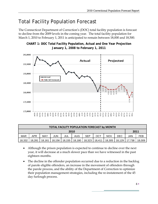## Total Facility Population Forecast

The Connecticut Department of Correction's (DOC) total facility population is forecast to decline from the 2009 levels in the coming year. The total facility population for March 1, 2010 to February 1, 2011 is anticipated to remain between 18,000 and 18,500.



**CHART 1: DOC Total Facility Population, Actual and One Year Projection January 1, 2008 to February 1, 2011** 

| <b>TOTAL FACILITY POPULATION FORECAST by MONTH</b> |        |        |        |        |        |            |        |            |        |        |        |
|----------------------------------------------------|--------|--------|--------|--------|--------|------------|--------|------------|--------|--------|--------|
| 2010                                               |        |        |        |        |        |            |        | 2011       |        |        |        |
| <b>MAR</b>                                         | APR    | MAY    | JUN    | JUL    | AUG    | <b>SEP</b> | OCT    | <b>NOV</b> | DEC    | JAN    | FEB    |
| 18,332                                             | 18,281 | 18,161 | 18,156 | 18,155 | 18,180 | 18,323     | 18,411 | 18,305     | 18,129 | 17,738 | 18.009 |

- Although the prison population is expected to continue to decline over the next year, it will decrease at a much slower pace than we have witnessed in the past eighteen months.
- The decline in the offender population occurred due to a reduction in the backlog of parole eligible offenders, an increase in the movement of offenders through the parole process, and the ability of the Department of Correction to optimize their population management strategies, including the re-instatement of the 45 day furlough process.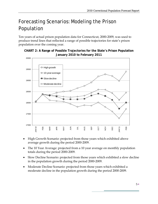# Forecasting Scenarios: Modeling the Prison Population

Ten years of actual prison population data for Connecticut, 2000-2009, was used to produce trend lines that reflected a range of possible trajectories for state's prison population over the coming year.





- High Growth Scenario: projected from those years which exhibited above average growth during the period 2000-2009.
- The 10 Year Average: projected from a 10 year average on monthly population totals during the period 2000-2009.
- Slow Decline Scenario: projected from those years which exhibited a slow decline in the population growth during the period 2000-2009.
- Moderate Decline Scenario: projected from those years which exhibited a moderate decline in the population growth during the period 2000-2009.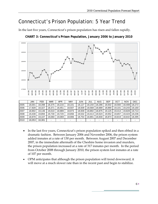## Connecticut's Prison Population: 5 Year Trend

In the last five years, Connecticut's prison population has risen and fallen rapidly.



**CHART 3: Connecticut's Prison Population, January 2006 to January 2010**

- In the last five years, Connecticut's prison population spiked and then ebbed in a dramatic fashion. Between January 2006 and November 2006, the prison system added inmates at a rate of 130 per month. Between August 2007 and December 2007, in the immediate aftermath of the Cheshire home invasion and murders, the prison population increased at a rate of 317 inmates per month. In the period from October 2008 through January 2010, the prison system lost inmates at a rate of 107 per month.
- OPM anticipates that although the prison population will trend downward, it will move at a much slower rate than in the recent past and begin to stabilize.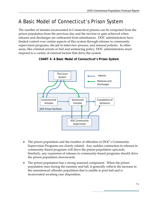# A Basic Model of Connecticut's Prison System

The number of inmates incarcerated in Connecticut prisons can be computed from the prison population from the previous day and the net loss or gain achieved when releases and discharges are subtracted from admittances. DOC administrators have limited control over certain aspects of this system through releases to community supervision programs, the jail re-interview process, and remand policies. In other areas, like criminal arrests or bail and sentencing policy, DOC administrators must respond to a variety of external factors that drive the system.



#### **CHART 4: A Basic Model of Connecticut's Prison System**

- The prison population and the number of offenders in DOC's Community Supervision Programs are closely related. Any sudden contraction in releases to community-based programs will drive the prison population upwards. Similarly, any expansion of releases to community-based programs should drive the prison population downwards.
- The prison population has a strong seasonal component. When the prison population rises during the summer and fall, it generally reflects the increase in the unsentenced offender population that is unable to post bail and is incarcerated awaiting case disposition.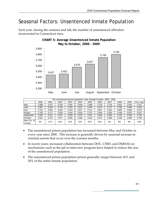## Seasonal Factors: Unsentenced Inmate Population

Each year, during the summer and fall, the number of unsentenced offenders incarcerated in Connecticut rises.



#### **CHART 5: Average Unsentenced Inmate Population May to October, 2000 - 2009**

| The unsentenced prison population, May through October, 2000 - 2009 |       |       |       |       |       |       |       |       |       |       |            |
|---------------------------------------------------------------------|-------|-------|-------|-------|-------|-------|-------|-------|-------|-------|------------|
|                                                                     | 2000  | 2001  | 2002  | 2003  | 2004  | 2005  | 2006  | 2007  | 2008  | 2009  | 10-yr avg. |
| May                                                                 | 2.688 | 2.971 | 3,239 | 3,381 | 3,628 | 3,568 | 3,703 | 3,725 | 3,816 | 3,654 | 3,437      |
| June                                                                | 2.687 | 3,029 | 3,319 | 3,354 | 3,627 | 3,640 | 3.674 | 3.727 | 3,786 | 3,688 | 3,453      |
| <b>July</b>                                                         | 2.722 | 3.051 | 3,542 | 3,410 | 3,877 | 3.711 | 3,827 | 3,821 | 3,885 | 3,858 | 3,570      |
| August                                                              | 2.795 | 3.177 | 3,529 | 3.444 | 3,833 | 3,737 | 3.944 | 3,830 | 4.108 | 3,870 | 3,627      |
| September                                                           | 2,820 | 3.311 | 3.547 | 3,550 | 4.076 | 3.907 | 4,084 | 3,983 | 4,158 | 3,969 | 3,740      |
| October                                                             | 2.821 | 3.473 | 3.677 | 3,805 | 4,083 | 3,916 | 4,072 | 3,959 | 4,148 | 3,998 | 3,795      |
| May-Oct, %<br>change                                                | 5%    | 17%   | 14%   | 13%   | 13%   | 10%   | 10%   | 6%    | 9%    | 9%    | 10%        |

- The unsentenced prison population has increased between May and October in every year since 2000. This increase is generally driven by seasonal increase in criminal arrests that occur over the warmer months.
- In recent years, increased collaboration between DOC, CSSD, and DMHAS on mechanisms such as the jail re-interview program have helped to reduce the size of the unsentenced population.
- The unsentenced prison population prison generally ranges between 16% and 20% of the entire inmate population.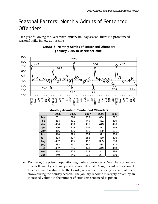## Seasonal Factors: Monthly Admits of Sentenced **Offenders**

Each year following the December-January holiday season, there is a pronounced seasonal spike in new admissions.



**Mar** 466 480 471 443 476 **Apr** 460 379 409 411 395 **May** 416 436 416 429 381 **Jun | 418 | 399 | 354 | 371 | 388 Jul | 423 | 427 | 385 | 430 | 406 Aug** 432 465 413 385 390 **Sep | 434 | 497 | 367 | 438 | 422 Oct** | 402 | 295 | 449 | 449 | 463 **Nov** 414 423 414 341 386 **Dec** 249 246 221 287 310

#### **CHART 6: Monthly Admits of Sentenced Offenders**  *<u>d anuary 2005 to December 2009*</u>

• Each year, the prison population regularly experiences a December-to-January drop followed by a January-to-February rebound. A significant proportion of this movement is driven by the Courts, where the processing of criminal cases slows during the holiday season. The January rebound is largely driven by an increased volume in the number of offenders sentenced to prison.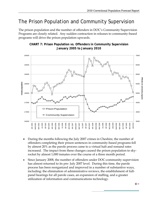## The Prison Population and Community Supervision

The prison population and the number of offenders in DOC's Community Supervision Programs are closely related. Any sudden contraction in releases to community-based programs will drive the prison population upwards.



#### **CHART 7: Prison Population vs. Offenders in Community Supervision January 2005 to January 2010**

- During the months following the July 2007 crimes in Cheshire, the number of offenders completing their prison sentences in community-based programs fell by almost 20% as the parole process came to a virtual halt and remand rates increased. The impact from these changes caused the prison population to skyrocket by almost 1,000 inmates over the course of a three month period.
- Since January 2008, the number of offenders under DOC-community supervision has almost returned to its pre- July 2007 level. During this time, the parole process has been reorganized and improved in a number of substantive ways, including: the elimination of administrative reviews, the establishment of fullpanel hearings for all parole cases, an expansion of staffing, and a greater utilization of information and communications technology.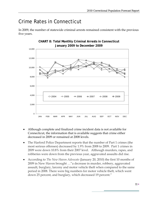## Crime Rates in Connecticut

In 2009, the number of statewide criminal arrests remained consistent with the previous five years.



- Although complete and finalized crime incident data is not available for Connecticut, the information that is available suggests that crime either decreased in 2009 or remained at 2008 levels.
- The Harford Police Department reports that the number of Part 1 crimes (the most serious offenses) decreased by 1.9% from 2008 to 2009. Part 1 crimes in 2009 were down 10.8% from their 2007 level. Although murders, rapes, and robberies were down from the previous year, aggravated assaults did rise.
- According to *The New Haven Advocate* (January 20, 2010) the first 10 months of 2009 in New Haven brought …"a decrease in murder, robbery, aggravated assault, burglary, larceny and motor vehicle theft when compared to the same period in 2008. There were big numbers for motor vehicle theft, which went down 25 percent, and burglary, which decreased 19 percent."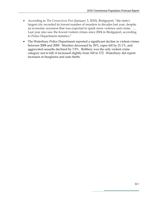- According to *The Connecticut Post* (January 3, 2010), Bridgeport, "the state's largest city recorded its lowest number of murders in decades last year, despite an economic recession that was expected to spark more violence and crime. …. Last year also saw the fewest violent crimes since 2004 in Bridgeport, according to Police Department statistics."
- The Waterbury Police Department reported a significant decline in violent crimes between 2008 and 2009. Murders decreased by 20%, rapes fell by 21.1%, and aggravated assaults declined by 7.8%. Robbery was the only violent crime category not to fall; it increased slightly from 169 to 172. Waterbury did report increases in burglaries and auto thefts.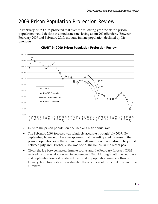## 2009 Prison Population Projection Review

In February 2009, OPM projected that over the following year the state's prison population would decline at a moderate rate, losing about 200 offenders. Between February 2009 and February 2010, the state inmate population declined by 726 offenders.





- In 2009, the prison population declined at a high annual rate.
- The February 2009 forecast was relatively accurate through July 2009. By September, however, it became apparent that the anticipated increase in the prison population over the summer and fall would not materialize. The period between July and October, 2009, was one of the flattest in the recent past.
- Given the lag between actual inmate counts and the February forecast, OPM revised its forecast downward in September 2009. Although both the February and September forecast predicted the trend in population numbers through January, both forecasts underestimated the steepness of the actual drop in inmate numbers.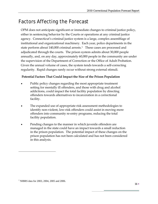## Factors Affecting the Forecast

OPM does not anticipate significant or immediate changes to criminal justice policy, either in sentencing behavior by the Courts or operations at any criminal justice agency. Connecticut's criminal justice system is a large, complex assemblage of institutional and organizational machinery. Each year, police departments in the state perform about [1](#page-15-0)40,000 criminal arrests.<sup>1</sup> These cases are processed and adjudicated through the courts. The prison system admits about 30,000 people annually, and, on any day, approximately 60,000 people in the community are under the supervision of the Department of Correction or the Office of Adult Probation. Given the annual volume of cases, the system tends towards a self-correcting regularity. Rapid changes rarely occur without strong external stimuli.

#### **Potential Factors That Could Impact the Size of the Prison Population**

- Public policy changes regarding the most appropriate treatment setting for mentally ill offenders, and those with drug and alcohol addictions, could impact the total facility population by directing offenders towards alternatives to incarceration in a correctional facility.
- The expanded use of appropriate risk assessment methodologies to identify non-violent, low-risk offenders could assist in moving more offenders into community re-entry programs, reducing the total facility population.
- Pending changes to the manner in which juvenile offenders are managed in the state could have an impact towards a small reduction in the prison population. The potential impact of these changes on the prison population has not been calculated and has not been considered in this analysis.

 $\overline{a}$ 

<span id="page-15-0"></span><sup>&</sup>lt;sup>1</sup> NIBRS data for 2003, 2004, 2005 and 2006.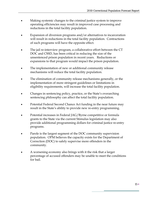- Making systemic changes to the criminal justice system to improve operating efficiencies may result in improved case processing and reductions in the total facility population.
- Expansion of diversion programs and/or alternatives to incarceration will result in reductions in the total facility population. Contractions of such programs will have the opposite effect.
- The jail re-interview program, a collaborative effort between the CT DOC and CSSD, has been critical in reducing the size of the unsentenced prison population in recent years. Reductions or expansions to that program would impact the prison population.
- The implementation of new or additional community release mechanisms will reduce the total facility population.
- The elimination of community release mechanisms generally, or the implementation of more stringent guidelines or limitations in eligibility requirements, will increase the total facility population.
- Changes in sentencing policy, practice, or the State's overarching sentencing philosophy can affect the total facility population.
- Potential Federal Second Chance Act funding in the near future may result in the State's ability to provide new re-entry programming.
- Potential increases in Federal JAG/Byrne competitive or formula grants to the State via the current Stimulus legislation may also provide additional programming dollars for criminal justice re-entry programs.
- Parole is the largest segment of the DOC community supervision population. OPM believes the capacity exists for the Department of Correction (DOC) to safely supervise more offenders in the community.
- A worsening economy also brings with it the risk that a larger percentage of accused offenders may be unable to meet the conditions for bail.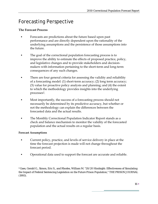## Forecasting Perspective

#### **The Forecast Process**

- Forecasts are predictions about the future based upon past performance and are directly dependent upon the rationality of the underlying assumptions and the persistence of those assumptions into the future.
- The goal of the correctional population forecasting process is to improve the ability to estimate the effects of proposed practice, policy, and legislative changes and to provide stakeholders and decisionmakers with information pertaining to the short-term and long-term consequences of any such changes.
- There are four general criteria for assessing the validity and reliability of a forecasting model: (1) short-term accuracy; (2) long term accuracy; (3) value for proactive policy analysis and planning; and (4) the extent to which the methodology provides insights into the underlying processes2.
- Most importantly, the success of a forecasting process should not necessarily be determined by its predictive accuracy, but whether or not the methodology can explain the differences between the forecasted data and the actual results.
- The Monthly Correctional Population Indicator Report stands as a check and balance mechanism to monitor the validity of the forecasted population and the actual results on a regular basis.

#### **Forecast Assumptions**

- Current policy, practice, and levels of service delivery in place at the time the forecast projection is made will not change throughout the forecast period.
- Operational data used to support the forecast are accurate and reliable.

2 Gaes, Gerald G., Simon, Eric S., and Rhodes, William M. "20/20 Hindsight: Effectiveness of Simulating the Impact of Federal Sentencing Legislation on the Future Prison Population," THE PRISON JOURNAL (1993).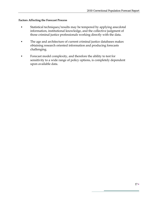#### **Factors Affecting the Forecast Process**

- Statistical techniques/results may be tempered by applying anecdotal information, institutional knowledge, and the collective judgment of those criminal justice professionals working directly with the data.
- The age and architecture of current criminal justice databases makes obtaining research oriented information and producing forecasts challenging.
- Forecast model complexity, and therefore the ability to test for sensitivity to a wide range of policy options, is completely dependent upon available data.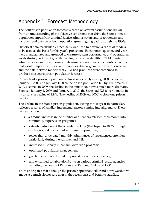## Appendix 1: Forecast Methodology

The 2010 prison population forecast is based on several assumptions drawn from an understanding of the objective conditions that drive the State's inmate population, input from criminal justice administrators and practitioners, and historic trend data on prison population growth going back through the 1980s.

Historical data, particularly since 2000, was used to develop a series of models to be used as the basis for this year's projection. Each month, quarter, and year were characterized and grouped to capture system performance and operational levels during periods of growth, decline, or relative stability. OPM queried administrators and practitioners to determine operational constraints or factors that would impact the prison admittance or discharge rates. These discussions and the data-derived models that OPM had produced were combined to produce this year's prison population forecast.

Connecticut's prison population declined moderately during 2008. Between January 1, 2008 and January 1, 2009, the prison population fell by 460 inmates, a 2.4% decline. In 2009, the decline in the inmate count was much more dramatic. Between January 1, 2009 and January 1, 2010, the State had 925 fewer inmates in its prisons, a decline of 4.9%. The decline of 2009 led DOC to close one prison facility.

The decline in the State's prison population, during the last year in particular, reflected a series of smaller, incremental factors coming into alignment. These factors included:

- a gradual increase in the number of offenders released each month into community supervision programs;
- a steady reduction of the offender backlog (that began in 2007) through discharges and releases into community programs;
- fewer-than anticipated monthly admittances of unsentenced offenders, particularly during the summer and fall;
- increased efficiency in pre-trial diversion programs;
- optimized population management;
- greater accountability and improved operational efficiency;
- and expanded collaboration between various criminal justice agencies including the Board of Pardons and Paroles, CSSD, and DOC.

OPM anticipates that although the prison population will trend downward, it will move at a much slower rate than in the recent past and begin to stabilize.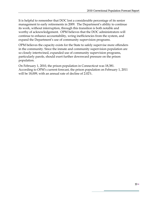It is helpful to remember that DOC lost a considerable percentage of its senior management to early retirements in 2009. The Department's ability to continue its work, without interruption, through this transition is both notable and worthy of acknowledgement. OPM believes that the DOC administrators will continue to enhance accountability, wring inefficiencies from the system, and expand the Department's use of community supervision programs.

OPM believes the capacity exists for the State to safely supervise more offenders in the community. Since the inmate and community supervision population are so closely intertwined, expanded use of community supervision programs, particularly parole, should exert further downward pressure on the prison population.

On February 1, 2010, the prison population in Connecticut was 18,381. According to OPM's current forecast, the prison population on February 1, 2011 will be 18,009, with an annual rate of decline of 2.02%.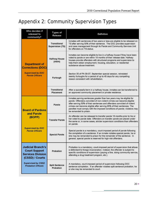# Appendix 2: Community Supervision Types

| Who decides if<br>released to<br>community?                                                     | Types of<br>Release                            | <b>Defintion</b>                                                                                                                                                                                                                                                                                                                                                                                        |  |  |  |  |  |
|-------------------------------------------------------------------------------------------------|------------------------------------------------|---------------------------------------------------------------------------------------------------------------------------------------------------------------------------------------------------------------------------------------------------------------------------------------------------------------------------------------------------------------------------------------------------------|--|--|--|--|--|
|                                                                                                 | <b>Transitional</b><br><b>Supervision (TS)</b> | Inmates with sentences of two years or less are eligible to be released on<br>TS after serving 50% of their sentence. The DOC provides supervision<br>and case management through its Parole and Community Services Unit<br>for offenders on TS status.                                                                                                                                                 |  |  |  |  |  |
| <b>Department of</b><br><b>Corrections (DOC)</b>                                                | <b>Halfway House</b><br>(HWH)                  | Inmates can become eligible to live in a halfway house if they have been<br>voted to parole or are within 18 months of their release date. Halfway<br>houses provide offenders with structured programs and supervision to<br>help them obtain employment, housing, education, or residential<br>substance abuse treatment.                                                                             |  |  |  |  |  |
| <b>Supervised by DOC</b><br><b>Parole Officers</b>                                              | Furlough                                       | Section 35 of PA 09-07, September special session, reinstated<br>reentry furloughs for a period of up to 45 days for any compelling<br>reason consistent with rehabilitation.                                                                                                                                                                                                                           |  |  |  |  |  |
|                                                                                                 | <b>Transitional</b><br>Placement               | After a successful term in a halfway house, inmates can be transferred to<br>an approved community placement or private residence.                                                                                                                                                                                                                                                                      |  |  |  |  |  |
| <b>Board of Pardons</b>                                                                         | Parole                                         | Inmates serving sentences greater than two years may be eligible for<br>parole. Offenders convicted of non-violent crimes can become eligible<br>after serving 50% of their sentences and offenders convicted of violent<br>crimes can become eligible after serving 85% of their sentences. The<br>parollee must comply with the imposed conditions of parole; violators may<br>be remanded to prison. |  |  |  |  |  |
| and Parole<br>(BOPP)                                                                            | <b>Transfer Parole</b>                         | An offender can be released to transfer parole 18 months prior to his or<br>her voted to parole date. Offenders on transfer parole are placed under<br>the same or, in some cases, stricter supervision conditions than offenders<br>on parole.                                                                                                                                                         |  |  |  |  |  |
| <b>Supervised by DOC</b><br><b>Parole Officers</b>                                              | <b>Special Parole</b>                          | Special parole is a mandatory, court-imposed period of parole following<br>the completion of a sentence. If an inmate violates special parole, he or<br>she may be remanded to prison for the remainder of the sentence. In<br>general, special parole is reserved for high-risk offenders.                                                                                                             |  |  |  |  |  |
| <b>Judicial Branch's</b><br><b>Court Support</b><br><b>Services Division</b><br>(CSSD) / Courts | Probation                                      | Probation is a mandatory, court-imposed period of supervision that allows<br>a defendant to forego incarceration. Instead, the offender is subject to<br>specific conditions of supervision (paying a fine, doing community service,<br>attending a drug treatment program, etc.).                                                                                                                      |  |  |  |  |  |
| <b>Supervised by CSSD</b><br><b>Probation Officers</b>                                          | <b>Split Sentence</b><br>Probation             | A mandatory, court-imposed period of supervision following DOC<br>sentence completion. If an offender violates split sentence probation, he<br>or she may be remanded to court.                                                                                                                                                                                                                         |  |  |  |  |  |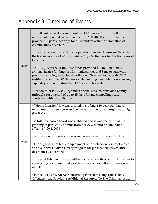## Appendix 3: Timeline of Events

| 2009        | • The Board of Pardons and Paroles (BOPP) moved toward full<br>implementation of its new mandated (P.A. 08-01) Board structure to<br>provide full parole hearings for all offenders with the elimination of<br><b>Administrative Reviews</b>                                                                                                      |
|-------------|---------------------------------------------------------------------------------------------------------------------------------------------------------------------------------------------------------------------------------------------------------------------------------------------------------------------------------------------------|
|             | • The incarcerated correctional population trended downward through<br>the last six months of 2009 to finish at 18,395 offenders for the first week of<br>December                                                                                                                                                                                |
|             | • ARRA (Recovery) "Stimulus" funds provided \$12 million of new<br>criminal justice funding for 158 municipalities and 8 major statewide<br>projects including: reducing the offender DNA backlog at both DOC<br>institutions and the DPS Forensics lab, building new video conferencing<br>capability, and rebuilding the BOPP case notes system |
|             | • Section 35 of PA 09-07, September special session, reinstated reentry<br>furloughs for a period of up to 45 days for any compelling reason<br>consistent with rehabilitation                                                                                                                                                                    |
|             | • "Home Invasion" law was created, including a 10 year mandatory<br>minimum prison sentence and enhanced statute for all burglaries at night<br>$(PA 08-1)$                                                                                                                                                                                       |
|             | • A full time parole board was instituted and it was decided that the<br>granting of paroles by administrative review would be eliminated,<br>effective July 1, 2008                                                                                                                                                                              |
|             | • Secure video-conferencing was made available for parole hearings.                                                                                                                                                                                                                                                                               |
| <b>2008</b> | • Furlough was limited to employment or for interview for employment<br>and a supervised diversionary program for persons with psychiatric<br>disabilities was created.                                                                                                                                                                           |
|             | • The establishment of a committee to study incentives to municipalities to<br>allow siting of community-based facilities such as halfway houses was<br>initiated.                                                                                                                                                                                |
|             | • Public Act 08-51, An Act Concerning Persistent Dangerous Felony<br>Offenders And Providing Additional Resources To The Criminal Justice                                                                                                                                                                                                         |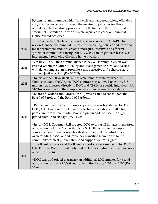|      | System, set minimum penalties for persistent dangerous felony offenders<br>and, in some instances, increased the maximum penalties for these<br>offenders. The bill also appropriated FY 09 funds, in the approximate<br>amount of \$10 million, to various state agencies to carry out criminal-<br>justice related activities.                                    |
|------|---------------------------------------------------------------------------------------------------------------------------------------------------------------------------------------------------------------------------------------------------------------------------------------------------------------------------------------------------------------------|
| 2007 | • The Connecticut Sentencing Task Force was created (PA 06-193) to<br>review Connecticut criminal justice and sentencing policies and laws and<br>make recommendations to create a more just, effective and efficient<br>system of criminal sentencing. . In July 2007, ban on parole releases was<br>implemented following Cheshire home invasion.                 |
| 2006 | • On July 1, 2006, the Criminal Justice Policy & Planning Division was<br>created within the Office of Policy and Management (OPM) and tasked<br>with developing a plan to promote a more effective and cohesive state<br>criminal justice system (PA 05-249).                                                                                                      |
| 2005 | • By November 2005, all 500 out-of-state inmates were returned to<br>Connecticut and the Virginia DOC contract was allowed to expire. \$13<br>million was invested directly to DOC and CSSD for specific initiatives (PA<br>04-216) as outlined in the comprehensive offender re-entry strategy.                                                                    |
|      | • Board of Pardons and Paroles (BOPP) was created to consolidate the<br>Board of Parole and the Board of Pardons.                                                                                                                                                                                                                                                   |
| 2004 | . Parole board authority for parole supervision was transferred to DOC.<br>DOC/CSSD were required to reduce technical violations by 20% for<br>parole and probation re-admissions to prison and increase furlough<br>period from 15 to 30 days (PA 04-234).                                                                                                         |
|      | • In July 2004, Governor Rell ordered DOC to bring all inmates transferred<br>out-of-state back into Connecticut's DOC facilities and to develop a<br>comprehensive offender re-entry strategy intended to control prison<br>overcrowding, assist offenders as they transition from prison to the<br>community, protect public safety, and support victims' rights. |
|      | • The Board of Parole and the Board of Pardons were merged into DOC.<br>(The Pardons Board was already under DOC for "administrative purposes                                                                                                                                                                                                                       |
| 2003 | only" (PA 03-06).)<br>• DOC was authorized to transfer an additional 2,000 inmates for a total<br>out-of-state contract of 2,500 beds only in fiscal years 2004 and 2005 (PA<br>$(03-6).$                                                                                                                                                                           |

Ξ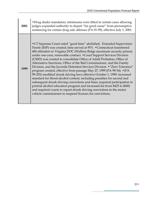| 2001 | • Drug dealer mandatory minimums were lifted in certain cases allowing<br>judges expanded authority to depart "for good cause" from presumptive<br>sentencing for certain drug sale offenses (PA 01-99), effective July 1, 2001.                                                                                                                                                                                                                                                                                                                                                                                                                                                                                                                                                                                                                                                                                                                                                                                                                                   |
|------|--------------------------------------------------------------------------------------------------------------------------------------------------------------------------------------------------------------------------------------------------------------------------------------------------------------------------------------------------------------------------------------------------------------------------------------------------------------------------------------------------------------------------------------------------------------------------------------------------------------------------------------------------------------------------------------------------------------------------------------------------------------------------------------------------------------------------------------------------------------------------------------------------------------------------------------------------------------------------------------------------------------------------------------------------------------------|
| 1999 | • CT Supreme Court ruled "good time" abolished. Extended Supervision<br>Parole (ESP) was created; time served at 95%. • Connecticut transferred<br>484 offenders to Virginia DOC (Wallens Ridge maximum security prison)<br>under one-year, renewable contract. • Court Support Services Division<br>(CSSD) was created to consolidate Office of Adult Probation, Office of<br>Alternative Sanctions, Office of the Bail Commissioner, and the Family<br>Division, and the Juvenile Detention Services Division. • "Zero Tolerance"<br>program created, effective from passage May 27, 1999 (PA 99-34). • (PA<br>99-255) modified drunk driving laws effective October 1, 1999: increased<br>standard for blood-alcohol content, including penalties for second and<br>subsequent drunk driving convictions and fines; required participation in<br>pretrial alcohol education program and increased fee from \$425 to \$600;<br>and required courts to report drunk driving convictions to the motor<br>vehicle commissioner to suspend licenses for convictions. |

Ė